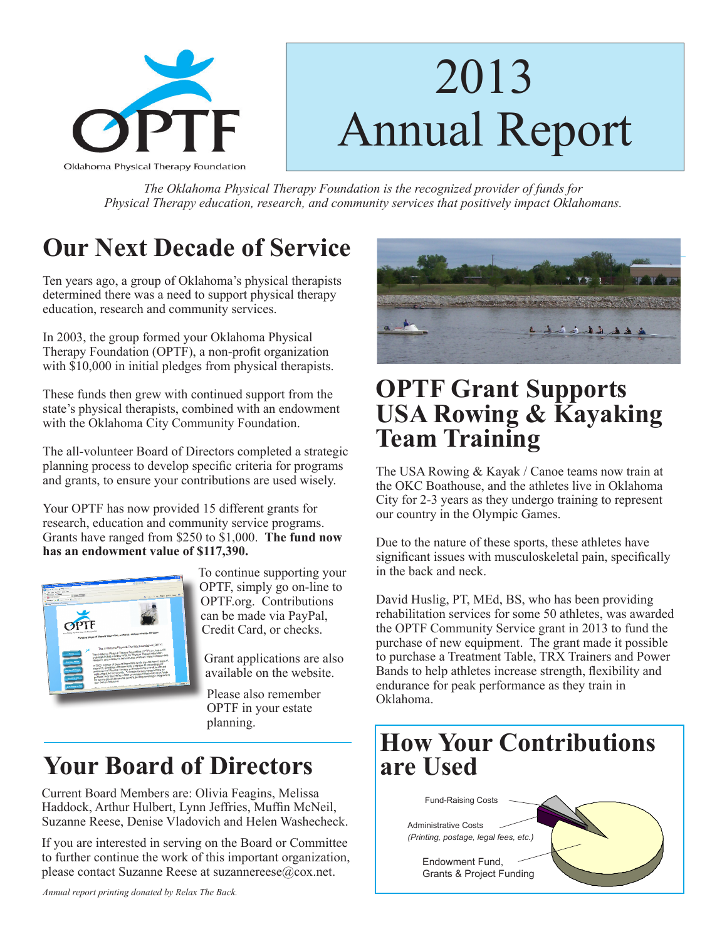

# 2013 Annual Report

*The Oklahoma Physical Therapy Foundation is the recognized provider of funds for Physical Therapy education, research, and community services that positively impact Oklahomans.*

## **Our Next Decade of Service**

Ten years ago, a group of Oklahoma's physical therapists determined there was a need to support physical therapy education, research and community services.

In 2003, the group formed your Oklahoma Physical Therapy Foundation (OPTF), a non-profit organization with \$10,000 in initial pledges from physical therapists.

These funds then grew with continued support from the state's physical therapists, combined with an endowment with the Oklahoma City Community Foundation.

The all-volunteer Board of Directors completed a strategic planning process to develop specific criteria for programs and grants, to ensure your contributions are used wisely.

Your OPTF has now provided 15 different grants for research, education and community service programs. Grants have ranged from \$250 to \$1,000. **The fund now has an endowment value of \$117,390.**



To continue supporting your OPTF, simply go on-line to OPTF.org. Contributions can be made via PayPal, Credit Card, or checks.

Grant applications are also available on the website.

 Please also remember OPTF in your estate planning.

## **Your Board of Directors**

Current Board Members are: Olivia Feagins, Melissa Haddock, Arthur Hulbert, Lynn Jeffries, Muffin McNeil, Suzanne Reese, Denise Vladovich and Helen Washecheck.

If you are interested in serving on the Board or Committee to further continue the work of this important organization, please contact Suzanne Reese at suzannereese@cox.net.





### **OPTF Grant Supports USA Rowing & Kayaking Team Training**

The USA Rowing & Kayak / Canoe teams now train at the OKC Boathouse, and the athletes live in Oklahoma City for 2-3 years as they undergo training to represent our country in the Olympic Games.

Due to the nature of these sports, these athletes have significant issues with musculoskeletal pain, specifically in the back and neck.

David Huslig, PT, MEd, BS, who has been providing rehabilitation services for some 50 athletes, was awarded the OPTF Community Service grant in 2013 to fund the purchase of new equipment. The grant made it possible to purchase a Treatment Table, TRX Trainers and Power Bands to help athletes increase strength, flexibility and endurance for peak performance as they train in Oklahoma.